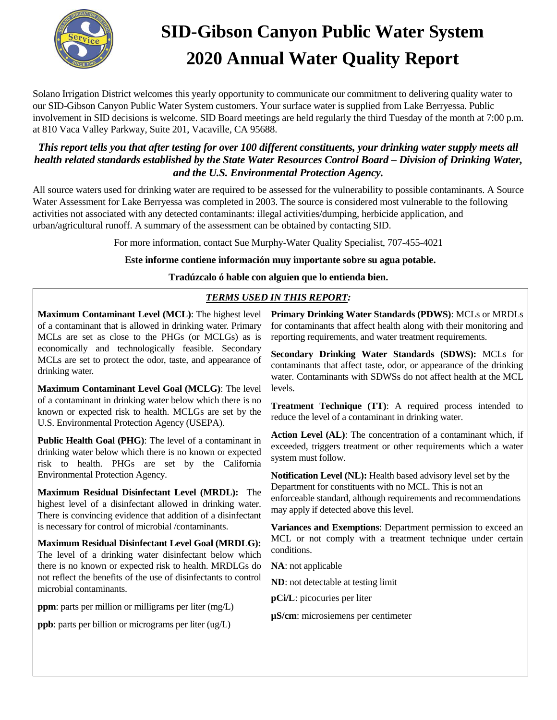

# **SID-Gibson Canyon Public Water System 2020 Annual Water Quality Report**

Solano Irrigation District welcomes this yearly opportunity to communicate our commitment to delivering quality water to our SID-Gibson Canyon Public Water System customers. Your surface water is supplied from Lake Berryessa. Public involvement in SID decisions is welcome. SID Board meetings are held regularly the third Tuesday of the month at 7:00 p.m. at 810 Vaca Valley Parkway, Suite 201, Vacaville, CA 95688.

## *This report tells you that after testing for over 100 different constituents, your drinking water supply meets all health related standards established by the State Water Resources Control Board – Division of Drinking Water, and the U.S. Environmental Protection Agency.*

All source waters used for drinking water are required to be assessed for the vulnerability to possible contaminants. A Source Water Assessment for Lake Berryessa was completed in 2003. The source is considered most vulnerable to the following activities not associated with any detected contaminants: illegal activities/dumping, herbicide application, and urban/agricultural runoff. A summary of the assessment can be obtained by contacting SID.

For more information, contact Sue Murphy-Water Quality Specialist, 707-455-4021

### **Este informe contiene información muy importante sobre su agua potable.**

### **Tradúzcalo ó hable con alguien que lo entienda bien.**

## *TERMS USED IN THIS REPORT:*

**Maximum Contaminant Level (MCL)**: The highest level of a contaminant that is allowed in drinking water. Primary MCLs are set as close to the PHGs (or MCLGs) as is economically and technologically feasible. Secondary MCLs are set to protect the odor, taste, and appearance of drinking water.

**Maximum Contaminant Level Goal (MCLG)**: The level of a contaminant in drinking water below which there is no known or expected risk to health. MCLGs are set by the U.S. Environmental Protection Agency (USEPA).

**Public Health Goal (PHG)**: The level of a contaminant in drinking water below which there is no known or expected risk to health. PHGs are set by the California Environmental Protection Agency.

**Maximum Residual Disinfectant Level (MRDL):** The highest level of a disinfectant allowed in drinking water. There is convincing evidence that addition of a disinfectant is necessary for control of microbial /contaminants.

**Maximum Residual Disinfectant Level Goal (MRDLG):**  The level of a drinking water disinfectant below which there is no known or expected risk to health. MRDLGs do not reflect the benefits of the use of disinfectants to control microbial contaminants.

**ppm**: parts per million or milligrams per liter (mg/L)

**ppb**: parts per billion or micrograms per liter (ug/L)

**Primary Drinking Water Standards (PDWS)**: MCLs or MRDLs for contaminants that affect health along with their monitoring and reporting requirements, and water treatment requirements.

**Secondary Drinking Water Standards (SDWS):** MCLs for contaminants that affect taste, odor, or appearance of the drinking water. Contaminants with SDWSs do not affect health at the MCL levels.

**Treatment Technique (TT)**: A required process intended to reduce the level of a contaminant in drinking water.

**Action Level (AL)**: The concentration of a contaminant which, if exceeded, triggers treatment or other requirements which a water system must follow.

**Notification Level (NL):** Health based advisory level set by the Department for constituents with no MCL. This is not an enforceable standard, although requirements and recommendations may apply if detected above this level.

**Variances and Exemptions**: Department permission to exceed an MCL or not comply with a treatment technique under certain conditions.

**NA**: not applicable

**ND**: not detectable at testing limit

**pCi/L**: picocuries per liter

**µS/cm**: microsiemens per centimeter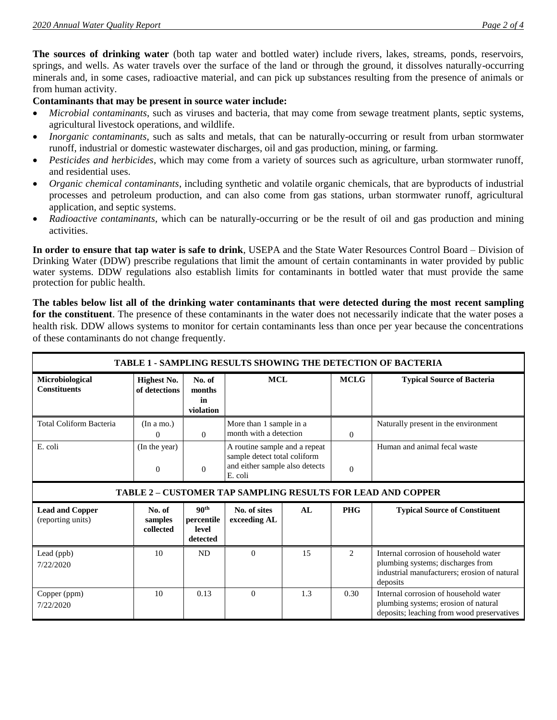**The sources of drinking water** (both tap water and bottled water) include rivers, lakes, streams, ponds, reservoirs, springs, and wells. As water travels over the surface of the land or through the ground, it dissolves naturally-occurring minerals and, in some cases, radioactive material, and can pick up substances resulting from the presence of animals or from human activity.

#### **Contaminants that may be present in source water include:**

- *Microbial contaminants*, such as viruses and bacteria, that may come from sewage treatment plants, septic systems, agricultural livestock operations, and wildlife.
- *Inorganic contaminants*, such as salts and metals, that can be naturally-occurring or result from urban stormwater runoff, industrial or domestic wastewater discharges, oil and gas production, mining, or farming.
- *Pesticides and herbicides*, which may come from a variety of sources such as agriculture, urban stormwater runoff, and residential uses.
- *Organic chemical contaminants*, including synthetic and volatile organic chemicals, that are byproducts of industrial processes and petroleum production, and can also come from gas stations, urban stormwater runoff, agricultural application, and septic systems.
- *Radioactive contaminants*, which can be naturally-occurring or be the result of oil and gas production and mining activities.

**In order to ensure that tap water is safe to drink**, USEPA and the State Water Resources Control Board – Division of Drinking Water (DDW) prescribe regulations that limit the amount of certain contaminants in water provided by public water systems. DDW regulations also establish limits for contaminants in bottled water that must provide the same protection for public health.

**The tables below list all of the drinking water contaminants that were detected during the most recent sampling for the constituent**. The presence of these contaminants in the water does not necessarily indicate that the water poses a health risk. DDW allows systems to monitor for certain contaminants less than once per year because the concentrations of these contaminants do not change frequently.

| <b>TABLE 1 - SAMPLING RESULTS SHOWING THE DETECTION OF BACTERIA</b> |                                     |                                                     |                                                                                                            |     |                |                                                                                                                                        |  |  |  |  |  |
|---------------------------------------------------------------------|-------------------------------------|-----------------------------------------------------|------------------------------------------------------------------------------------------------------------|-----|----------------|----------------------------------------------------------------------------------------------------------------------------------------|--|--|--|--|--|
| <b>Microbiological</b><br><b>Constituents</b>                       | <b>Highest No.</b><br>of detections | No. of<br>months<br>in<br>violation                 | <b>MCL</b>                                                                                                 |     | <b>MCLG</b>    | <b>Typical Source of Bacteria</b>                                                                                                      |  |  |  |  |  |
| <b>Total Coliform Bacteria</b>                                      | (In a mo.)<br>$\Omega$              | $\Omega$                                            | More than 1 sample in a<br>month with a detection                                                          |     | $\theta$       | Naturally present in the environment                                                                                                   |  |  |  |  |  |
| E. coli                                                             | (In the year)<br>$\Omega$           | $\mathbf{0}$                                        | A routine sample and a repeat<br>sample detect total coliform<br>and either sample also detects<br>E. coli |     | $\theta$       | Human and animal fecal waste                                                                                                           |  |  |  |  |  |
| <b>TABLE 2 - CUSTOMER TAP SAMPLING RESULTS FOR LEAD AND COPPER</b>  |                                     |                                                     |                                                                                                            |     |                |                                                                                                                                        |  |  |  |  |  |
| <b>Lead and Copper</b><br>(reporting units)                         | No. of<br>samples<br>collected      | 90 <sup>th</sup><br>percentile<br>level<br>detected | No. of sites<br>exceeding AL                                                                               | AL  | <b>PHG</b>     | <b>Typical Source of Constituent</b>                                                                                                   |  |  |  |  |  |
| Lead (ppb)<br>7/22/2020                                             | 10                                  | <b>ND</b>                                           | $\Omega$                                                                                                   | 15  | $\overline{c}$ | Internal corrosion of household water<br>plumbing systems; discharges from<br>industrial manufacturers; erosion of natural<br>deposits |  |  |  |  |  |
| Copper (ppm)<br>7/22/2020                                           | 10                                  | 0.13                                                | $\Omega$                                                                                                   | 1.3 | 0.30           | Internal corrosion of household water<br>plumbing systems; erosion of natural<br>deposits; leaching from wood preservatives            |  |  |  |  |  |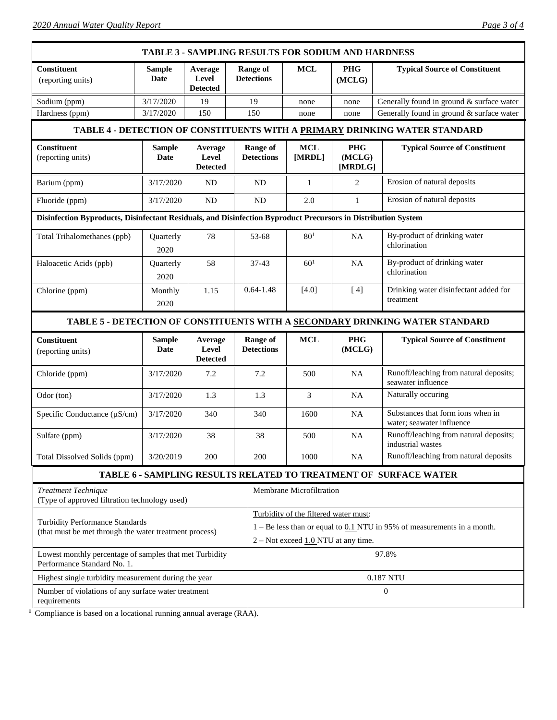*2020 Annual Water Quality Report Page 3 of 4*

|                                                                                                               |                       |                                     |                                      |                                      | <b>TABLE 3 - SAMPLING RESULTS FOR SODIUM AND HARDNESS</b>                                                                                                     |                                 |                                                                              |  |  |
|---------------------------------------------------------------------------------------------------------------|-----------------------|-------------------------------------|--------------------------------------|--------------------------------------|---------------------------------------------------------------------------------------------------------------------------------------------------------------|---------------------------------|------------------------------------------------------------------------------|--|--|
| <b>Constituent</b><br>(reporting units)                                                                       | <b>Sample</b><br>Date | Average<br>Level<br><b>Detected</b> | <b>Range of</b><br><b>Detections</b> |                                      | <b>MCL</b>                                                                                                                                                    | <b>PHG</b><br>(MCLG)            | <b>Typical Source of Constituent</b>                                         |  |  |
| Sodium (ppm)                                                                                                  | 3/17/2020             | 19                                  | 19                                   |                                      | none                                                                                                                                                          | none                            | Generally found in ground & surface water                                    |  |  |
| Hardness (ppm)                                                                                                | 3/17/2020             | 150                                 |                                      | 150                                  | none                                                                                                                                                          | none                            | Generally found in ground & surface water                                    |  |  |
|                                                                                                               |                       |                                     |                                      |                                      |                                                                                                                                                               |                                 | TABLE 4 - DETECTION OF CONSTITUENTS WITH A PRIMARY DRINKING WATER STANDARD   |  |  |
| <b>Constituent</b><br>(reporting units)                                                                       | <b>Sample</b><br>Date | Average<br>Level<br><b>Detected</b> |                                      | <b>Range of</b><br><b>Detections</b> | <b>MCL</b><br>[MRDL]                                                                                                                                          | <b>PHG</b><br>(MCLG)<br>[MRDLG] | <b>Typical Source of Constituent</b>                                         |  |  |
| Barium (ppm)                                                                                                  | 3/17/2020             | ND                                  |                                      | <b>ND</b>                            | 1                                                                                                                                                             | 2                               | Erosion of natural deposits                                                  |  |  |
| Fluoride (ppm)                                                                                                | 3/17/2020             | ND                                  | <b>ND</b>                            |                                      | 2.0                                                                                                                                                           | $\mathbf{1}$                    | Erosion of natural deposits                                                  |  |  |
| Disinfection Byproducts, Disinfectant Residuals, and Disinfection Byproduct Precursors in Distribution System |                       |                                     |                                      |                                      |                                                                                                                                                               |                                 |                                                                              |  |  |
| Total Trihalomethanes (ppb)                                                                                   | Quarterly<br>2020     | 78                                  |                                      | 53-68                                | 80 <sup>1</sup>                                                                                                                                               | <b>NA</b>                       | By-product of drinking water<br>chlorination                                 |  |  |
| Haloacetic Acids (ppb)                                                                                        | Quarterly<br>2020     | 58                                  | $37 - 43$                            |                                      | 60 <sup>1</sup>                                                                                                                                               | <b>NA</b>                       | By-product of drinking water<br>chlorination                                 |  |  |
| Chlorine (ppm)                                                                                                | Monthly<br>2020       | 1.15                                |                                      | $0.64 - 1.48$                        | $[4.0]$                                                                                                                                                       | [4]                             | Drinking water disinfectant added for<br>treatment                           |  |  |
|                                                                                                               |                       |                                     |                                      |                                      |                                                                                                                                                               |                                 | TABLE 5 - DETECTION OF CONSTITUENTS WITH A SECONDARY DRINKING WATER STANDARD |  |  |
| Constituent<br>(reporting units)                                                                              | <b>Sample</b><br>Date | Average<br>Level<br><b>Detected</b> |                                      | <b>Range of</b><br><b>Detections</b> | <b>MCL</b>                                                                                                                                                    | <b>PHG</b><br>(MCLG)            | <b>Typical Source of Constituent</b>                                         |  |  |
| Chloride (ppm)                                                                                                | 3/17/2020             | 7.2                                 |                                      | 7.2                                  | 500                                                                                                                                                           | <b>NA</b>                       | Runoff/leaching from natural deposits;<br>seawater influence                 |  |  |
| Odor (ton)                                                                                                    | 3/17/2020             | 1.3                                 |                                      | 1.3                                  | 3                                                                                                                                                             | <b>NA</b>                       | Naturally occuring                                                           |  |  |
| Specific Conductance (µS/cm)                                                                                  | 3/17/2020             | 340                                 |                                      | 340                                  | 1600                                                                                                                                                          | <b>NA</b>                       | Substances that form ions when in<br>water; seawater influence               |  |  |
| Sulfate (ppm)                                                                                                 | 3/17/2020             | 38                                  |                                      | 38                                   | 500                                                                                                                                                           | <b>NA</b>                       | Runoff/leaching from natural deposits;<br>industrial wastes                  |  |  |
| Total Dissolved Solids (ppm)                                                                                  | 3/20/2019             | 200                                 |                                      | 200                                  | 1000                                                                                                                                                          | <b>NA</b>                       | Runoff/leaching from natural deposits                                        |  |  |
|                                                                                                               |                       |                                     |                                      |                                      |                                                                                                                                                               |                                 | <b>TABLE 6 - SAMPLING RESULTS RELATED TO TREATMENT OF SURFACE WATER</b>      |  |  |
| <b>Treatment Technique</b><br>(Type of approved filtration technology used)                                   |                       |                                     | Membrane Microfiltration             |                                      |                                                                                                                                                               |                                 |                                                                              |  |  |
| Turbidity Performance Standards<br>(that must be met through the water treatment process)                     |                       |                                     |                                      |                                      | Turbidity of the filtered water must:<br>$1 - Be$ less than or equal to $0.1$ NTU in 95% of measurements in a month.<br>$2 - Not exceed 1.0 NTU$ at any time. |                                 |                                                                              |  |  |
|                                                                                                               |                       |                                     |                                      |                                      |                                                                                                                                                               |                                 |                                                                              |  |  |
| Lowest monthly percentage of samples that met Turbidity<br>Performance Standard No. 1.                        |                       |                                     |                                      |                                      |                                                                                                                                                               |                                 | 97.8%                                                                        |  |  |
| Highest single turbidity measurement during the year                                                          |                       |                                     |                                      |                                      |                                                                                                                                                               |                                 | 0.187 NTU                                                                    |  |  |

**1** Compliance is based on a locational running annual average (RAA).